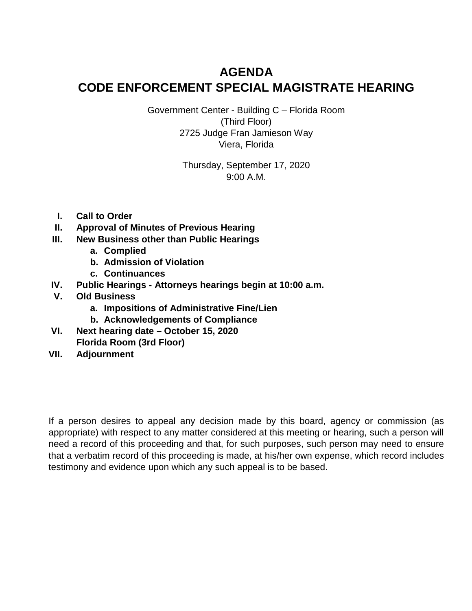# **AGENDA CODE ENFORCEMENT SPECIAL MAGISTRATE HEARING**

Government Center - Building C – Florida Room (Third Floor) 2725 Judge Fran Jamieson Way Viera, Florida

> Thursday, September 17, 2020 9:00 A.M.

- **I. Call to Order**
- **II. Approval of Minutes of Previous Hearing**
- **III. New Business other than Public Hearings**
	- **a. Complied**
	- **b. Admission of Violation**
	- **c. Continuances**
- **IV. Public Hearings Attorneys hearings begin at 10:00 a.m.**
- **V. Old Business**
	- **a. Impositions of Administrative Fine/Lien**
	- **b. Acknowledgements of Compliance**
- **VI. Next hearing date October 15, 2020 Florida Room (3rd Floor)**
- **VII. Adjournment**

If a person desires to appeal any decision made by this board, agency or commission (as appropriate) with respect to any matter considered at this meeting or hearing, such a person will need a record of this proceeding and that, for such purposes, such person may need to ensure that a verbatim record of this proceeding is made, at his/her own expense, which record includes testimony and evidence upon which any such appeal is to be based.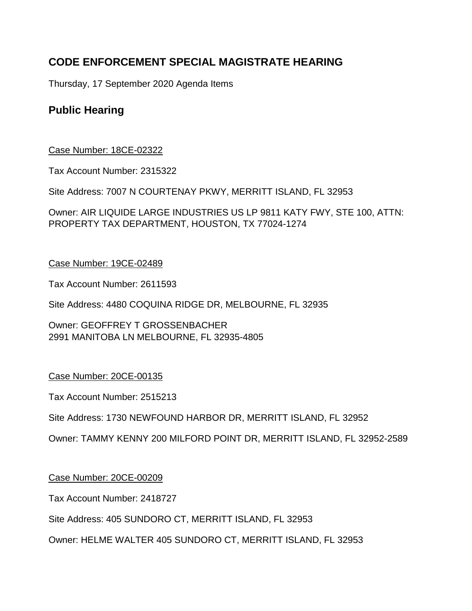## **CODE ENFORCEMENT SPECIAL MAGISTRATE HEARING**

Thursday, 17 September 2020 Agenda Items

## **Public Hearing**

### Case Number: 18CE-02322

Tax Account Number: 2315322

Site Address: 7007 N COURTENAY PKWY, MERRITT ISLAND, FL 32953

Owner: AIR LIQUIDE LARGE INDUSTRIES US LP 9811 KATY FWY, STE 100, ATTN: PROPERTY TAX DEPARTMENT, HOUSTON, TX 77024-1274

### Case Number: 19CE-02489

Tax Account Number: 2611593

Site Address: 4480 COQUINA RIDGE DR, MELBOURNE, FL 32935

Owner: GEOFFREY T GROSSENBACHER 2991 MANITOBA LN MELBOURNE, FL 32935-4805

#### Case Number: 20CE-00135

Tax Account Number: 2515213

Site Address: 1730 NEWFOUND HARBOR DR, MERRITT ISLAND, FL 32952

Owner: TAMMY KENNY 200 MILFORD POINT DR, MERRITT ISLAND, FL 32952-2589

#### Case Number: 20CE-00209

Tax Account Number: 2418727

Site Address: 405 SUNDORO CT, MERRITT ISLAND, FL 32953

Owner: HELME WALTER 405 SUNDORO CT, MERRITT ISLAND, FL 32953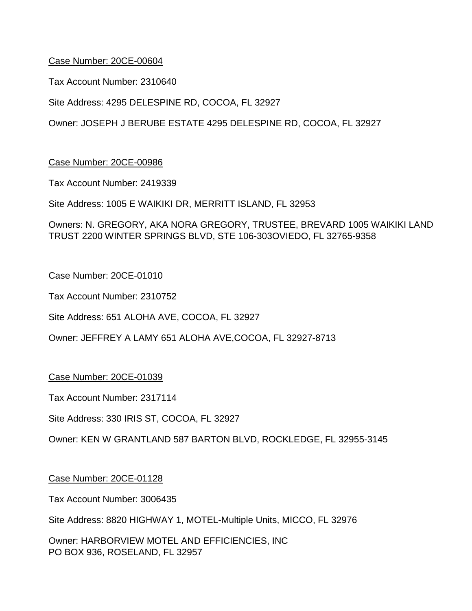Tax Account Number: 2310640

Site Address: 4295 DELESPINE RD, COCOA, FL 32927

Owner: JOSEPH J BERUBE ESTATE 4295 DELESPINE RD, COCOA, FL 32927

#### Case Number: 20CE-00986

Tax Account Number: 2419339

Site Address: 1005 E WAIKIKI DR, MERRITT ISLAND, FL 32953

Owners: N. GREGORY, AKA NORA GREGORY, TRUSTEE, BREVARD 1005 WAIKIKI LAND TRUST 2200 WINTER SPRINGS BLVD, STE 106-303OVIEDO, FL 32765-9358

#### Case Number: 20CE-01010

Tax Account Number: 2310752

Site Address: 651 ALOHA AVE, COCOA, FL 32927

Owner: JEFFREY A LAMY 651 ALOHA AVE,COCOA, FL 32927-8713

#### Case Number: 20CE-01039

Tax Account Number: 2317114

Site Address: 330 IRIS ST, COCOA, FL 32927

Owner: KEN W GRANTLAND 587 BARTON BLVD, ROCKLEDGE, FL 32955-3145

#### Case Number: 20CE-01128

Tax Account Number: 3006435

Site Address: 8820 HIGHWAY 1, MOTEL-Multiple Units, MICCO, FL 32976

Owner: HARBORVIEW MOTEL AND EFFICIENCIES, INC PO BOX 936, ROSELAND, FL 32957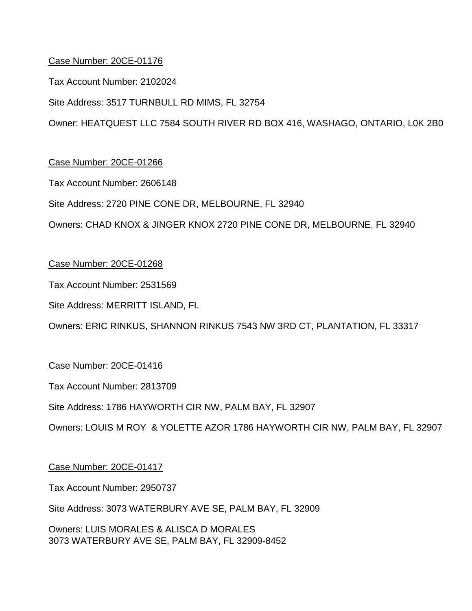Tax Account Number: 2102024

Site Address: 3517 TURNBULL RD MIMS, FL 32754

Owner: HEATQUEST LLC 7584 SOUTH RIVER RD BOX 416, WASHAGO, ONTARIO, L0K 2B0

#### Case Number: 20CE-01266

Tax Account Number: 2606148

Site Address: 2720 PINE CONE DR, MELBOURNE, FL 32940

Owners: CHAD KNOX & JINGER KNOX 2720 PINE CONE DR, MELBOURNE, FL 32940

#### Case Number: 20CE-01268

Tax Account Number: 2531569

Site Address: MERRITT ISLAND, FL

Owners: ERIC RINKUS, SHANNON RINKUS 7543 NW 3RD CT, PLANTATION, FL 33317

#### Case Number: 20CE-01416

Tax Account Number: 2813709

Site Address: 1786 HAYWORTH CIR NW, PALM BAY, FL 32907

Owners: LOUIS M ROY & YOLETTE AZOR 1786 HAYWORTH CIR NW, PALM BAY, FL 32907

#### Case Number: 20CE-01417

Tax Account Number: 2950737

Site Address: 3073 WATERBURY AVE SE, PALM BAY, FL 32909

Owners: LUIS MORALES & ALISCA D MORALES 3073 WATERBURY AVE SE, PALM BAY, FL 32909-8452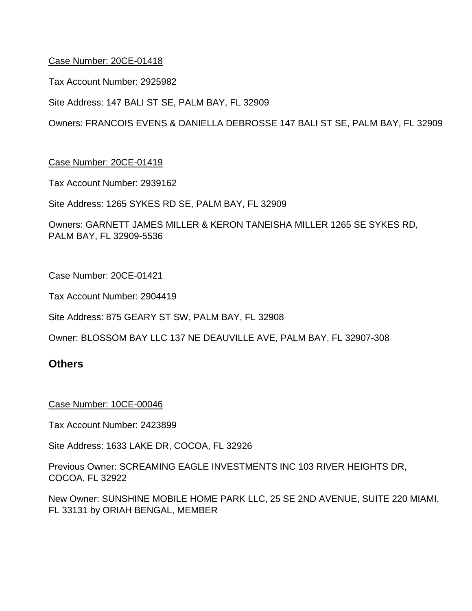Tax Account Number: 2925982

Site Address: 147 BALI ST SE, PALM BAY, FL 32909

Owners: FRANCOIS EVENS & DANIELLA DEBROSSE 147 BALI ST SE, PALM BAY, FL 32909

#### Case Number: 20CE-01419

Tax Account Number: 2939162

Site Address: 1265 SYKES RD SE, PALM BAY, FL 32909

Owners: GARNETT JAMES MILLER & KERON TANEISHA MILLER 1265 SE SYKES RD, PALM BAY, FL 32909-5536

#### Case Number: 20CE-01421

Tax Account Number: 2904419

Site Address: 875 GEARY ST SW, PALM BAY, FL 32908

Owner: BLOSSOM BAY LLC 137 NE DEAUVILLE AVE, PALM BAY, FL 32907-308

#### **Others**

#### Case Number: 10CE-00046

Tax Account Number: 2423899

Site Address: 1633 LAKE DR, COCOA, FL 32926

Previous Owner: SCREAMING EAGLE INVESTMENTS INC 103 RIVER HEIGHTS DR, COCOA, FL 32922

New Owner: SUNSHINE MOBILE HOME PARK LLC, 25 SE 2ND AVENUE, SUITE 220 MIAMI, FL 33131 by ORIAH BENGAL, MEMBER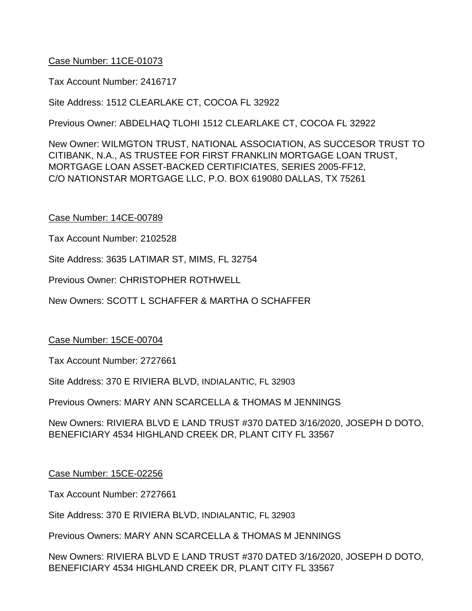#### Case Number: 11CE-01073

Tax Account Number: 2416717

Site Address: 1512 CLEARLAKE CT, COCOA FL 32922

Previous Owner: ABDELHAQ TLOHI 1512 CLEARLAKE CT, COCOA FL 32922

New Owner: WILMGTON TRUST, NATIONAL ASSOCIATION, AS SUCCESOR TRUST TO CITIBANK, N.A., AS TRUSTEE FOR FIRST FRANKLIN MORTGAGE LOAN TRUST, MORTGAGE LOAN ASSET-BACKED CERTIFICIATES, SERIES 2005-FF12, C/O NATIONSTAR MORTGAGE LLC, P.O. BOX 619080 DALLAS, TX 75261

#### Case Number: 14CE-00789

Tax Account Number: 2102528

Site Address: 3635 LATIMAR ST, MIMS, FL 32754

Previous Owner: CHRISTOPHER ROTHWELL

New Owners: SCOTT L SCHAFFER & MARTHA O SCHAFFER

#### Case Number: 15CE-00704

Tax Account Number: 2727661

Site Address: 370 E RIVIERA BLVD, INDIALANTIC, FL 32903

Previous Owners: MARY ANN SCARCELLA & THOMAS M JENNINGS

New Owners: RIVIERA BLVD E LAND TRUST #370 DATED 3/16/2020, JOSEPH D DOTO, BENEFICIARY 4534 HIGHLAND CREEK DR, PLANT CITY FL 33567

#### Case Number: 15CE-02256

Tax Account Number: 2727661

Site Address: 370 E RIVIERA BLVD, INDIALANTIC, FL 32903

Previous Owners: MARY ANN SCARCELLA & THOMAS M JENNINGS

New Owners: RIVIERA BLVD E LAND TRUST #370 DATED 3/16/2020, JOSEPH D DOTO, BENEFICIARY 4534 HIGHLAND CREEK DR, PLANT CITY FL 33567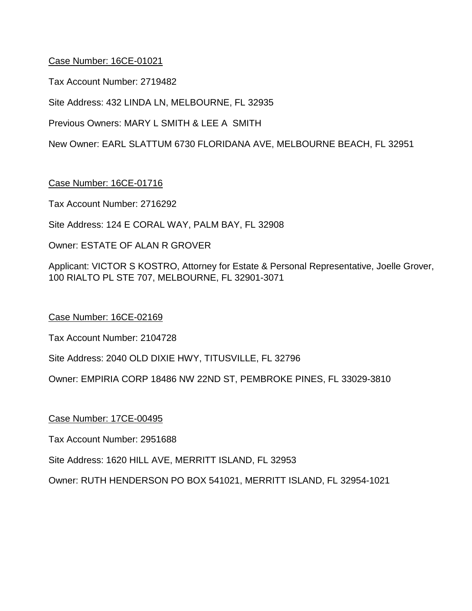#### Case Number: 16CE-01021

Tax Account Number: 2719482

Site Address: 432 LINDA LN, MELBOURNE, FL 32935

Previous Owners: MARY L SMITH & LEE A SMITH

New Owner: EARL SLATTUM 6730 FLORIDANA AVE, MELBOURNE BEACH, FL 32951

Case Number: 16CE-01716

Tax Account Number: 2716292

Site Address: 124 E CORAL WAY, PALM BAY, FL 32908

Owner: ESTATE OF ALAN R GROVER

Applicant: VICTOR S KOSTRO, Attorney for Estate & Personal Representative, Joelle Grover, 100 RIALTO PL STE 707, MELBOURNE, FL 32901-3071

Case Number: 16CE-02169

Tax Account Number: 2104728

Site Address: 2040 OLD DIXIE HWY, TITUSVILLE, FL 32796

Owner: EMPIRIA CORP 18486 NW 22ND ST, PEMBROKE PINES, FL 33029-3810

Case Number: 17CE-00495

Tax Account Number: 2951688

Site Address: 1620 HILL AVE, MERRITT ISLAND, FL 32953

Owner: RUTH HENDERSON PO BOX 541021, MERRITT ISLAND, FL 32954-1021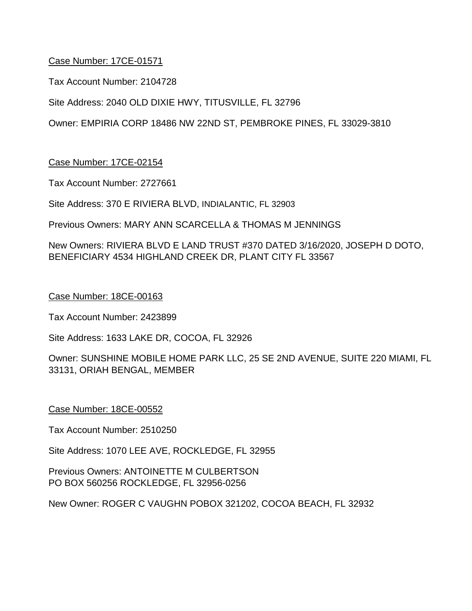#### Case Number: 17CE-01571

Tax Account Number: 2104728

Site Address: 2040 OLD DIXIE HWY, TITUSVILLE, FL 32796

Owner: EMPIRIA CORP 18486 NW 22ND ST, PEMBROKE PINES, FL 33029-3810

#### Case Number: 17CE-02154

Tax Account Number: 2727661

Site Address: 370 E RIVIERA BLVD, INDIALANTIC, FL 32903

Previous Owners: MARY ANN SCARCELLA & THOMAS M JENNINGS

New Owners: RIVIERA BLVD E LAND TRUST #370 DATED 3/16/2020, JOSEPH D DOTO, BENEFICIARY 4534 HIGHLAND CREEK DR, PLANT CITY FL 33567

#### Case Number: 18CE-00163

Tax Account Number: 2423899

Site Address: 1633 LAKE DR, COCOA, FL 32926

Owner: SUNSHINE MOBILE HOME PARK LLC, 25 SE 2ND AVENUE, SUITE 220 MIAMI, FL 33131, ORIAH BENGAL, MEMBER

#### Case Number: 18CE-00552

Tax Account Number: 2510250

Site Address: 1070 LEE AVE, ROCKLEDGE, FL 32955

Previous Owners: ANTOINETTE M CULBERTSON PO BOX 560256 ROCKLEDGE, FL 32956-0256

New Owner: ROGER C VAUGHN POBOX 321202, COCOA BEACH, FL 32932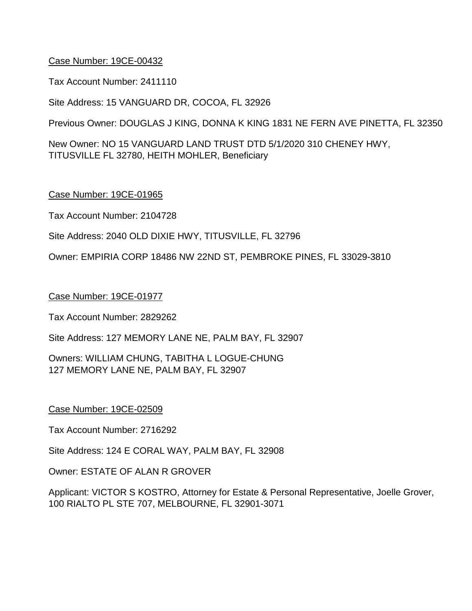#### Case Number: 19CE-00432

Tax Account Number: 2411110

Site Address: 15 VANGUARD DR, COCOA, FL 32926

Previous Owner: DOUGLAS J KING, DONNA K KING 1831 NE FERN AVE PINETTA, FL 32350

New Owner: NO 15 VANGUARD LAND TRUST DTD 5/1/2020 310 CHENEY HWY, TITUSVILLE FL 32780, HEITH MOHLER, Beneficiary

#### Case Number: 19CE-01965

Tax Account Number: 2104728

Site Address: 2040 OLD DIXIE HWY, TITUSVILLE, FL 32796

Owner: EMPIRIA CORP 18486 NW 22ND ST, PEMBROKE PINES, FL 33029-3810

#### Case Number: 19CE-01977

Tax Account Number: 2829262

Site Address: 127 MEMORY LANE NE, PALM BAY, FL 32907

Owners: WILLIAM CHUNG, TABITHA L LOGUE-CHUNG 127 MEMORY LANE NE, PALM BAY, FL 32907

#### Case Number: 19CE-02509

Tax Account Number: 2716292

Site Address: 124 E CORAL WAY, PALM BAY, FL 32908

Owner: ESTATE OF ALAN R GROVER

Applicant: VICTOR S KOSTRO, Attorney for Estate & Personal Representative, Joelle Grover, 100 RIALTO PL STE 707, MELBOURNE, FL 32901-3071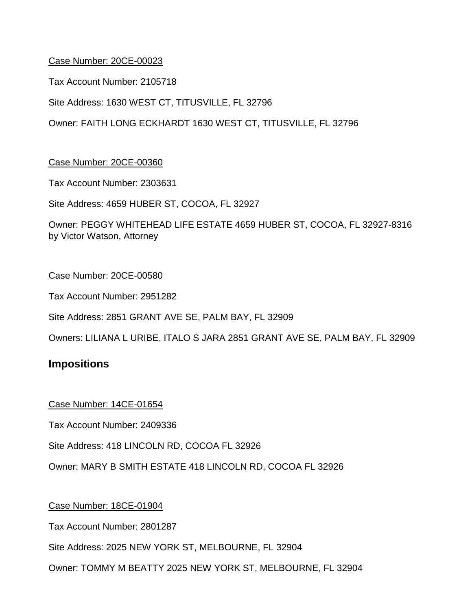Tax Account Number: 2105718

Site Address: 1630 WEST CT, TITUSVILLE, FL 32796

Owner: FAITH LONG ECKHARDT 1630 WEST CT, TITUSVILLE, FL 32796

#### Case Number: 20CE-00360

Tax Account Number: 2303631

Site Address: 4659 HUBER ST, COCOA, FL 32927

Owner: PEGGY WHITEHEAD LIFE ESTATE 4659 HUBER ST, COCOA, FL 32927-8316 by Victor Watson, Attorney

#### Case Number: 20CE-00580

Tax Account Number: 2951282

Site Address: 2851 GRANT AVE SE, PALM BAY, FL 32909

Owners: LILIANA L URIBE, ITALO S JARA 2851 GRANT AVE SE, PALM BAY, FL 32909

## **Impositions**

Case Number: 14CE-01654

Tax Account Number: 2409336

Site Address: 418 LINCOLN RD, COCOA FL 32926

Owner: MARY B SMITH ESTATE 418 LINCOLN RD, COCOA FL 32926

Case Number: 18CE-01904

Tax Account Number: 2801287

Site Address: 2025 NEW YORK ST, MELBOURNE, FL 32904

Owner: TOMMY M BEATTY 2025 NEW YORK ST, MELBOURNE, FL 32904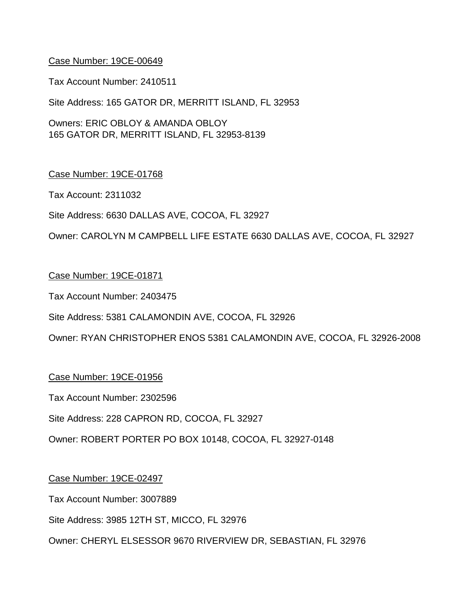#### Case Number: 19CE-00649

Tax Account Number: 2410511

Site Address: 165 GATOR DR, MERRITT ISLAND, FL 32953

Owners: ERIC OBLOY & AMANDA OBLOY 165 GATOR DR, MERRITT ISLAND, FL 32953-8139

#### Case Number: 19CE-01768

Tax Account: 2311032

Site Address: 6630 DALLAS AVE, COCOA, FL 32927

Owner: CAROLYN M CAMPBELL LIFE ESTATE 6630 DALLAS AVE, COCOA, FL 32927

#### Case Number: 19CE-01871

Tax Account Number: 2403475

Site Address: 5381 CALAMONDIN AVE, COCOA, FL 32926

Owner: RYAN CHRISTOPHER ENOS 5381 CALAMONDIN AVE, COCOA, FL 32926-2008

#### Case Number: 19CE-01956

Tax Account Number: 2302596

Site Address: 228 CAPRON RD, COCOA, FL 32927

Owner: ROBERT PORTER PO BOX 10148, COCOA, FL 32927-0148

#### Case Number: 19CE-02497

Tax Account Number: 3007889

Site Address: 3985 12TH ST, MICCO, FL 32976

Owner: CHERYL ELSESSOR 9670 RIVERVIEW DR, SEBASTIAN, FL 32976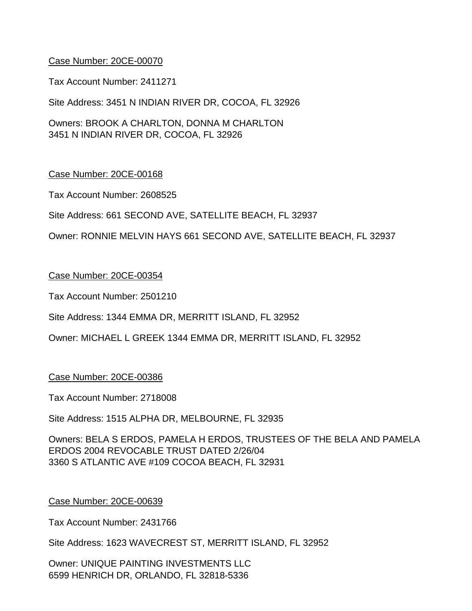Tax Account Number: 2411271

Site Address: 3451 N INDIAN RIVER DR, COCOA, FL 32926

Owners: BROOK A CHARLTON, DONNA M CHARLTON 3451 N INDIAN RIVER DR, COCOA, FL 32926

#### Case Number: 20CE-00168

Tax Account Number: 2608525

Site Address: 661 SECOND AVE, SATELLITE BEACH, FL 32937

Owner: RONNIE MELVIN HAYS 661 SECOND AVE, SATELLITE BEACH, FL 32937

#### Case Number: 20CE-00354

Tax Account Number: 2501210

Site Address: 1344 EMMA DR, MERRITT ISLAND, FL 32952

Owner: MICHAEL L GREEK 1344 EMMA DR, MERRITT ISLAND, FL 32952

#### Case Number: 20CE-00386

Tax Account Number: 2718008

Site Address: 1515 ALPHA DR, MELBOURNE, FL 32935

Owners: BELA S ERDOS, PAMELA H ERDOS, TRUSTEES OF THE BELA AND PAMELA ERDOS 2004 REVOCABLE TRUST DATED 2/26/04 3360 S ATLANTIC AVE #109 COCOA BEACH, FL 32931

#### Case Number: 20CE-00639

Tax Account Number: 2431766

Site Address: 1623 WAVECREST ST, MERRITT ISLAND, FL 32952

Owner: UNIQUE PAINTING INVESTMENTS LLC 6599 HENRICH DR, ORLANDO, FL 32818-5336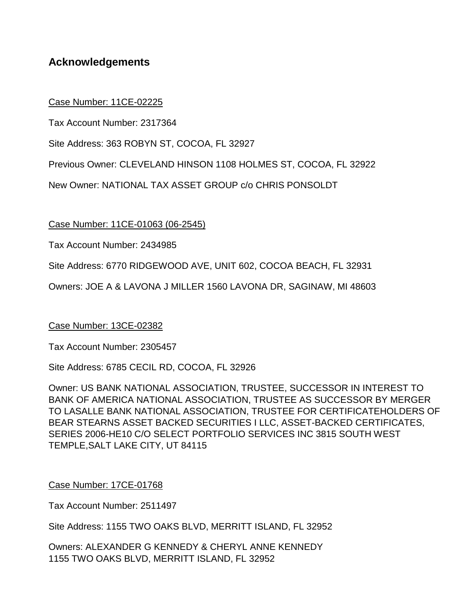## **Acknowledgements**

#### Case Number: 11CE-02225

Tax Account Number: 2317364

Site Address: 363 ROBYN ST, COCOA, FL 32927

Previous Owner: CLEVELAND HINSON 1108 HOLMES ST, COCOA, FL 32922

New Owner: NATIONAL TAX ASSET GROUP c/o CHRIS PONSOLDT

#### Case Number: 11CE-01063 (06-2545)

Tax Account Number: 2434985

Site Address: 6770 RIDGEWOOD AVE, UNIT 602, COCOA BEACH, FL 32931

Owners: JOE A & LAVONA J MILLER 1560 LAVONA DR, SAGINAW, MI 48603

#### Case Number: 13CE-02382

Tax Account Number: 2305457

Site Address: 6785 CECIL RD, COCOA, FL 32926

Owner: US BANK NATIONAL ASSOCIATION, TRUSTEE, SUCCESSOR IN INTEREST TO BANK OF AMERICA NATIONAL ASSOCIATION, TRUSTEE AS SUCCESSOR BY MERGER TO LASALLE BANK NATIONAL ASSOCIATION, TRUSTEE FOR CERTIFICATEHOLDERS OF BEAR STEARNS ASSET BACKED SECURITIES I LLC, ASSET-BACKED CERTIFICATES, SERIES 2006-HE10 C/O SELECT PORTFOLIO SERVICES INC 3815 SOUTH WEST TEMPLE,SALT LAKE CITY, UT 84115

#### Case Number: 17CE-01768

Tax Account Number: 2511497

Site Address: 1155 TWO OAKS BLVD, MERRITT ISLAND, FL 32952

Owners: ALEXANDER G KENNEDY & CHERYL ANNE KENNEDY 1155 TWO OAKS BLVD, MERRITT ISLAND, FL 32952